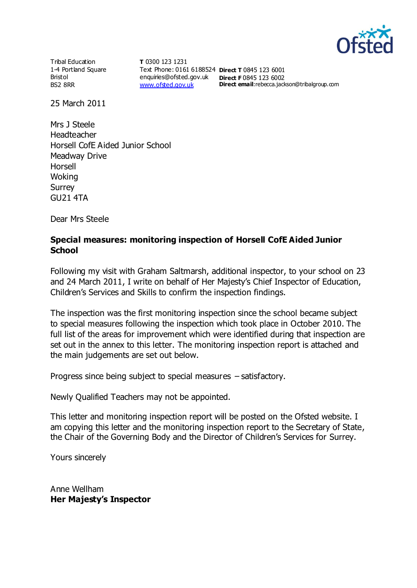

Tribal Education 1-4 Portland Square Bristol BS2 8RR

**T** 0300 123 1231 Text Phone: 0161 6188524 **Direct T** 0845 123 6001 enquiries@ofsted.gov.uk **Direct F** 0845 123 6002 [www.ofsted.gov.uk](http://www.ofsted.gov.uk/)

**Direct email:**rebecca.jackson@tribalgroup.com

25 March 2011

Mrs J Steele Headteacher Horsell CofE Aided Junior School Meadway Drive Horsell Woking Surrey GU21 4TA

Dear Mrs Steele

#### **Special measures: monitoring inspection of Horsell CofE Aided Junior School**

Following my visit with Graham Saltmarsh, additional inspector, to your school on 23 and 24 March 2011, I write on behalf of Her Majesty's Chief Inspector of Education, Children's Services and Skills to confirm the inspection findings.

The inspection was the first monitoring inspection since the school became subject to special measures following the inspection which took place in October 2010. The full list of the areas for improvement which were identified during that inspection are set out in the annex to this letter. The monitoring inspection report is attached and the main judgements are set out below.

Progress since being subject to special measures – satisfactory.

Newly Qualified Teachers may not be appointed.

This letter and monitoring inspection report will be posted on the Ofsted website. I am copying this letter and the monitoring inspection report to the Secretary of State, the Chair of the Governing Body and the Director of Children's Services for Surrey.

Yours sincerely

Anne Wellham **Her Majesty's Inspector**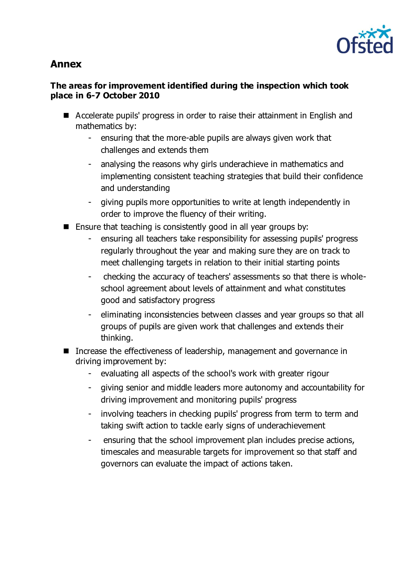

# **Annex**

## **The areas for improvement identified during the inspection which took place in 6-7 October 2010**

- Accelerate pupils' progress in order to raise their attainment in English and mathematics by:
	- ensuring that the more-able pupils are always given work that challenges and extends them
	- analysing the reasons why girls underachieve in mathematics and implementing consistent teaching strategies that build their confidence and understanding
	- giving pupils more opportunities to write at length independently in order to improve the fluency of their writing.
- $\blacksquare$  Ensure that teaching is consistently good in all year groups by:
	- ensuring all teachers take responsibility for assessing pupils' progress regularly throughout the year and making sure they are on track to meet challenging targets in relation to their initial starting points
	- checking the accuracy of teachers' assessments so that there is wholeschool agreement about levels of attainment and what constitutes good and satisfactory progress
	- eliminating inconsistencies between classes and year groups so that all groups of pupils are given work that challenges and extends their thinking.
- Increase the effectiveness of leadership, management and governance in driving improvement by:
	- evaluating all aspects of the school's work with greater rigour
	- giving senior and middle leaders more autonomy and accountability for driving improvement and monitoring pupils' progress
	- involving teachers in checking pupils' progress from term to term and taking swift action to tackle early signs of underachievement
	- ensuring that the school improvement plan includes precise actions, timescales and measurable targets for improvement so that staff and governors can evaluate the impact of actions taken.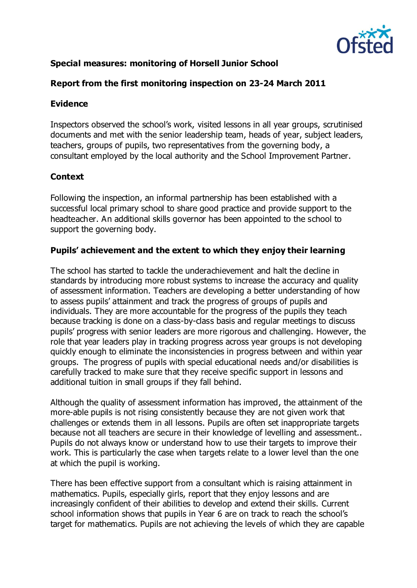

## **Special measures: monitoring of Horsell Junior School**

## **Report from the first monitoring inspection on 23-24 March 2011**

#### **Evidence**

Inspectors observed the school's work, visited lessons in all year groups, scrutinised documents and met with the senior leadership team, heads of year, subject leaders, teachers, groups of pupils, two representatives from the governing body, a consultant employed by the local authority and the School Improvement Partner.

## **Context**

Following the inspection, an informal partnership has been established with a successful local primary school to share good practice and provide support to the headteacher. An additional skills governor has been appointed to the school to support the governing body.

## **Pupils' achievement and the extent to which they enjoy their learning**

The school has started to tackle the underachievement and halt the decline in standards by introducing more robust systems to increase the accuracy and quality of assessment information. Teachers are developing a better understanding of how to assess pupils' attainment and track the progress of groups of pupils and individuals. They are more accountable for the progress of the pupils they teach because tracking is done on a class-by-class basis and regular meetings to discuss pupils' progress with senior leaders are more rigorous and challenging. However, the role that year leaders play in tracking progress across year groups is not developing quickly enough to eliminate the inconsistencies in progress between and within year groups. The progress of pupils with special educational needs and/or disabilities is carefully tracked to make sure that they receive specific support in lessons and additional tuition in small groups if they fall behind.

Although the quality of assessment information has improved, the attainment of the more-able pupils is not rising consistently because they are not given work that challenges or extends them in all lessons. Pupils are often set inappropriate targets because not all teachers are secure in their knowledge of levelling and assessment.. Pupils do not always know or understand how to use their targets to improve their work. This is particularly the case when targets relate to a lower level than the one at which the pupil is working.

There has been effective support from a consultant which is raising attainment in mathematics. Pupils, especially girls, report that they enjoy lessons and are increasingly confident of their abilities to develop and extend their skills. Current school information shows that pupils in Year 6 are on track to reach the school's target for mathematics. Pupils are not achieving the levels of which they are capable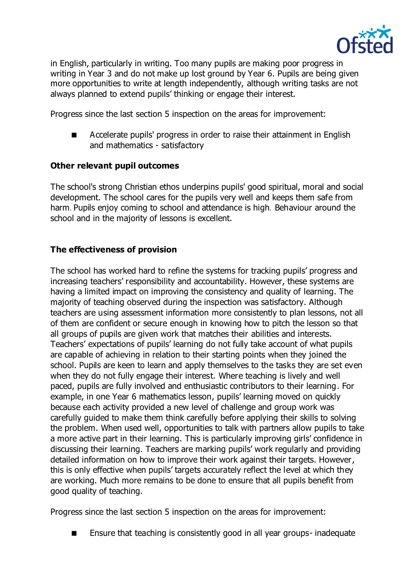

in English, particularly in writing. Too many pupils are making poor progress in writing in Year 3 and do not make up lost ground by Year 6. Pupils are being given more opportunities to write at length independently, although writing tasks are not always planned to extend pupils' thinking or engage their interest.

Progress since the last section 5 inspection on the areas for improvement:

 Accelerate pupils' progress in order to raise their attainment in English and mathematics - satisfactory

## **Other relevant pupil outcomes**

The school's strong Christian ethos underpins pupils' good spiritual, moral and social development. The school cares for the pupils very well and keeps them safe from harm. Pupils enjoy coming to school and attendance is high. Behaviour around the school and in the majority of lessons is excellent.

## **The effectiveness of provision**

The school has worked hard to refine the systems for tracking pupils' progress and increasing teachers' responsibility and accountability. However, these systems are having a limited impact on improving the consistency and quality of learning. The majority of teaching observed during the inspection was satisfactory. Although teachers are using assessment information more consistently to plan lessons, not all of them are confident or secure enough in knowing how to pitch the lesson so that all groups of pupils are given work that matches their abilities and interests. Teachers' expectations of pupils' learning do not fully take account of what pupils are capable of achieving in relation to their starting points when they joined the school. Pupils are keen to learn and apply themselves to the tasks they are set even when they do not fully engage their interest. Where teaching is lively and well paced, pupils are fully involved and enthusiastic contributors to their learning. For example, in one Year 6 mathematics lesson, pupils' learning moved on quickly because each activity provided a new level of challenge and group work was carefully guided to make them think carefully before applying their skills to solving the problem. When used well, opportunities to talk with partners allow pupils to take a more active part in their learning. This is particularly improving girls' confidence in discussing their learning. Teachers are marking pupils' work regularly and providing detailed information on how to improve their work against their targets. However, this is only effective when pupils' targets accurately reflect the level at which they are working. Much more remains to be done to ensure that all pupils benefit from good quality of teaching.

Progress since the last section 5 inspection on the areas for improvement:

■ Ensure that teaching is consistently good in all year groups-inadequate